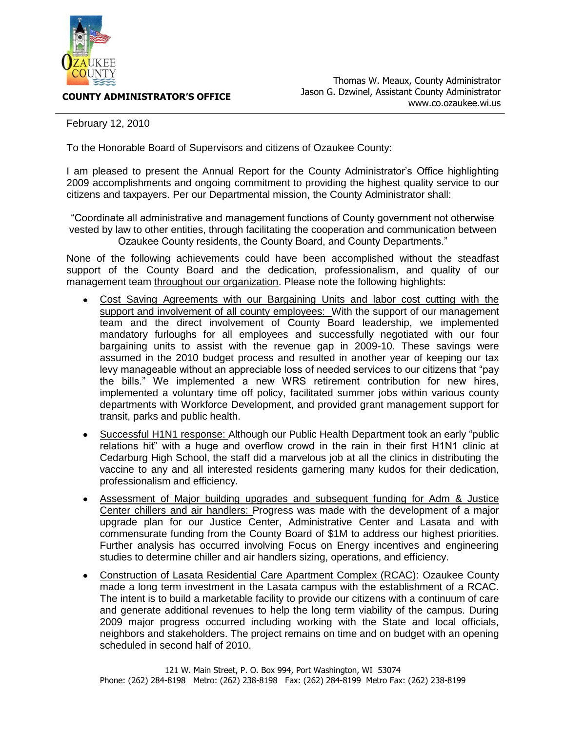

**COUNTY ADMINISTRATOR'S OFFICE**

February 12, 2010

To the Honorable Board of Supervisors and citizens of Ozaukee County:

I am pleased to present the Annual Report for the County Administrator's Office highlighting 2009 accomplishments and ongoing commitment to providing the highest quality service to our citizens and taxpayers. Per our Departmental mission, the County Administrator shall:

"Coordinate all administrative and management functions of County government not otherwise vested by law to other entities, through facilitating the cooperation and communication between Ozaukee County residents, the County Board, and County Departments."

None of the following achievements could have been accomplished without the steadfast support of the County Board and the dedication, professionalism, and quality of our management team throughout our organization. Please note the following highlights:

- Cost Saving Agreements with our Bargaining Units and labor cost cutting with the support and involvement of all county employees: With the support of our management team and the direct involvement of County Board leadership, we implemented mandatory furloughs for all employees and successfully negotiated with our four bargaining units to assist with the revenue gap in 2009-10. These savings were assumed in the 2010 budget process and resulted in another year of keeping our tax levy manageable without an appreciable loss of needed services to our citizens that "pay the bills." We implemented a new WRS retirement contribution for new hires, implemented a voluntary time off policy, facilitated summer jobs within various county departments with Workforce Development, and provided grant management support for transit, parks and public health.
- Successful H1N1 response: Although our Public Health Department took an early "public  $\bullet$ relations hit" with a huge and overflow crowd in the rain in their first H1N1 clinic at Cedarburg High School, the staff did a marvelous job at all the clinics in distributing the vaccine to any and all interested residents garnering many kudos for their dedication, professionalism and efficiency.
- Assessment of Major building upgrades and subsequent funding for Adm & Justice Center chillers and air handlers: Progress was made with the development of a major upgrade plan for our Justice Center, Administrative Center and Lasata and with commensurate funding from the County Board of \$1M to address our highest priorities. Further analysis has occurred involving Focus on Energy incentives and engineering studies to determine chiller and air handlers sizing, operations, and efficiency.
- Construction of Lasata Residential Care Apartment Complex (RCAC): Ozaukee County  $\bullet$ made a long term investment in the Lasata campus with the establishment of a RCAC. The intent is to build a marketable facility to provide our citizens with a continuum of care and generate additional revenues to help the long term viability of the campus. During 2009 major progress occurred including working with the State and local officials, neighbors and stakeholders. The project remains on time and on budget with an opening scheduled in second half of 2010.